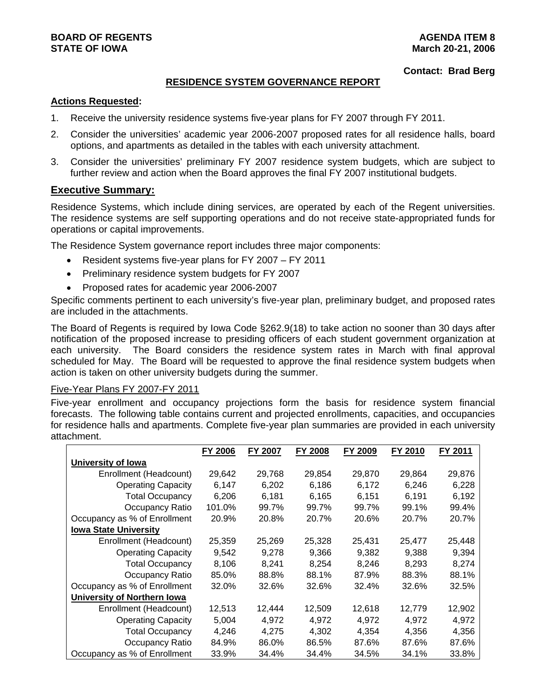## **BOARD OF REGENTS** AGENERATION OF REGENTS AGENERATION OF REGENTS AGENERATION OF REGENTS AGENERATION OF REGENTS AGENERATION OF REGENTS AGENERATION OF REGENTS AGENERATION OF REGENTS AGENERATION OF REGENTS AGENERATION OF REGE **STATE OF IOWA March 20-21, 2006 March 20-21, 2006**

#### **Contact: Brad Berg**

## **RESIDENCE SYSTEM GOVERNANCE REPORT**

## **Actions Requested:**

- 1. Receive the university residence systems five-year plans for FY 2007 through FY 2011.
- 2. Consider the universities' academic year 2006-2007 proposed rates for all residence halls, board options, and apartments as detailed in the tables with each university attachment.
- 3. Consider the universities' preliminary FY 2007 residence system budgets, which are subject to further review and action when the Board approves the final FY 2007 institutional budgets.

## **Executive Summary:**

Residence Systems, which include dining services, are operated by each of the Regent universities. The residence systems are self supporting operations and do not receive state-appropriated funds for operations or capital improvements.

The Residence System governance report includes three major components:

- Resident systems five-year plans for FY 2007 FY 2011
- Preliminary residence system budgets for FY 2007
- Proposed rates for academic year 2006-2007

Specific comments pertinent to each university's five-year plan, preliminary budget, and proposed rates are included in the attachments.

The Board of Regents is required by Iowa Code §262.9(18) to take action no sooner than 30 days after notification of the proposed increase to presiding officers of each student government organization at each university. The Board considers the residence system rates in March with final approval scheduled for May. The Board will be requested to approve the final residence system budgets when action is taken on other university budgets during the summer.

### Five-Year Plans FY 2007-FY 2011

Five-year enrollment and occupancy projections form the basis for residence system financial forecasts. The following table contains current and projected enrollments, capacities, and occupancies for residence halls and apartments. Complete five-year plan summaries are provided in each university attachment.

|                              | FY 2006 | FY 2007 | FY 2008<br>FY 2009 |        | FY 2010 | FY 2011 |
|------------------------------|---------|---------|--------------------|--------|---------|---------|
| University of Iowa           |         |         |                    |        |         |         |
| Enrollment (Headcount)       | 29,642  | 29,768  | 29,854             | 29,870 | 29,864  | 29,876  |
| <b>Operating Capacity</b>    | 6,147   | 6,202   | 6,186              | 6.172  | 6,246   | 6,228   |
| <b>Total Occupancy</b>       | 6,206   | 6,181   | 6,165              | 6,151  | 6,191   | 6,192   |
| Occupancy Ratio              | 101.0%  | 99.7%   | 99.7%              | 99.7%  | 99.1%   | 99.4%   |
| Occupancy as % of Enrollment | 20.9%   | 20.8%   | 20.7%              | 20.6%  | 20.7%   | 20.7%   |
| <b>Iowa State University</b> |         |         |                    |        |         |         |
| Enrollment (Headcount)       | 25,359  | 25,269  | 25,328             | 25,431 | 25,477  | 25,448  |
| <b>Operating Capacity</b>    | 9,542   | 9,278   | 9,366              | 9,382  | 9,388   | 9,394   |
| <b>Total Occupancy</b>       | 8,106   | 8,241   | 8,254              | 8,246  | 8,293   | 8,274   |
| Occupancy Ratio              | 85.0%   | 88.8%   | 88.1%              | 87.9%  | 88.3%   | 88.1%   |
| Occupancy as % of Enrollment | 32.0%   | 32.6%   | 32.6%              | 32.4%  | 32.6%   | 32.5%   |
| University of Northern Iowa  |         |         |                    |        |         |         |
| Enrollment (Headcount)       | 12,513  | 12,444  | 12,509             | 12,618 | 12,779  | 12,902  |
| <b>Operating Capacity</b>    | 5,004   | 4,972   | 4,972              | 4,972  | 4,972   | 4,972   |
| <b>Total Occupancy</b>       | 4,246   | 4,275   | 4,302              | 4,354  | 4,356   | 4,356   |
| Occupancy Ratio              | 84.9%   | 86.0%   | 86.5%              | 87.6%  | 87.6%   | 87.6%   |
| Occupancy as % of Enrollment | 33.9%   | 34.4%   | 34.4%              | 34.5%  | 34.1%   | 33.8%   |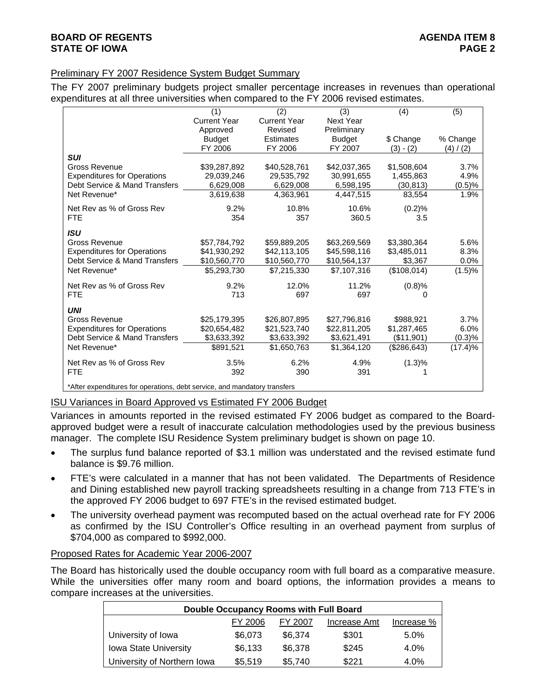## Preliminary FY 2007 Residence System Budget Summary

The FY 2007 preliminary budgets project smaller percentage increases in revenues than operational expenditures at all three universities when compared to the FY 2006 revised estimates.

|                                                                           | (1)                 | (2)                 | (3)              | (4)         | (5)       |
|---------------------------------------------------------------------------|---------------------|---------------------|------------------|-------------|-----------|
|                                                                           | <b>Current Year</b> | <b>Current Year</b> | <b>Next Year</b> |             |           |
|                                                                           | Approved            | Revised             | Preliminary      |             |           |
|                                                                           | <b>Budget</b>       | <b>Estimates</b>    | <b>Budget</b>    | \$ Change   | % Change  |
|                                                                           | FY 2006             | FY 2006             | FY 2007          | $(3) - (2)$ | (4) / (2) |
| <b>SUI</b>                                                                |                     |                     |                  |             |           |
| Gross Revenue                                                             | \$39,287,892        | \$40,528,761        | \$42,037,365     | \$1,508,604 | 3.7%      |
| <b>Expenditures for Operations</b>                                        | 29,039,246          | 29,535,792          | 30,991,655       | 1,455,863   | 4.9%      |
| Debt Service & Mand Transfers                                             | 6,629,008           | 6,629,008           | 6,598,195        | (30, 813)   | (0.5)%    |
| Net Revenue*                                                              | 3,619,638           | 4,363,961           | 4,447,515        | 83,554      | 1.9%      |
| Net Rev as % of Gross Rev                                                 | 9.2%                | 10.8%               | 10.6%            | (0.2)%      |           |
| <b>FTE</b>                                                                | 354                 | 357                 | 360.5            | 3.5         |           |
| <b>ISU</b>                                                                |                     |                     |                  |             |           |
| Gross Revenue                                                             | \$57,784,792        | \$59,889,205        | \$63,269,569     | \$3,380,364 | 5.6%      |
| <b>Expenditures for Operations</b>                                        | \$41,930,292        | \$42,113,105        | \$45,598,116     | \$3,485,011 | 8.3%      |
| Debt Service & Mand Transfers                                             | \$10,560,770        | \$10,560,770        | \$10,564,137     | \$3,367     | 0.0%      |
| Net Revenue*                                                              | \$5,293,730         | \$7,215,330         | \$7,107,316      | (\$108,014) | (1.5)%    |
| Net Rev as % of Gross Rev                                                 | 9.2%                | 12.0%               | 11.2%            | (0.8)%      |           |
| <b>FTE</b>                                                                | 713                 | 697                 | 697              | 0           |           |
| <b>UNI</b>                                                                |                     |                     |                  |             |           |
| Gross Revenue                                                             | \$25,179,395        | \$26,807,895        | \$27,796,816     | \$988,921   | 3.7%      |
| <b>Expenditures for Operations</b>                                        | \$20,654,482        | \$21,523,740        | \$22,811,205     | \$1,287,465 | 6.0%      |
| Debt Service & Mand Transfers                                             | \$3,633,392         | \$3,633,392         | \$3,621,491      | (\$11,901)  | (0.3)%    |
| Net Revenue*                                                              | \$891,521           | \$1,650,763         | \$1,364,120      | (\$286,643) | (17.4)%   |
| Net Rev as % of Gross Rev                                                 | 3.5%                | 6.2%                | 4.9%             | (1.3)%      |           |
| <b>FTE</b>                                                                | 392                 | 390                 | 391              |             |           |
| *After expenditures for operations, debt service, and mandatory transfers |                     |                     |                  |             |           |

## ISU Variances in Board Approved vs Estimated FY 2006 Budget

Variances in amounts reported in the revised estimated FY 2006 budget as compared to the Boardapproved budget were a result of inaccurate calculation methodologies used by the previous business manager. The complete ISU Residence System preliminary budget is shown on page 10.

- The surplus fund balance reported of \$3.1 million was understated and the revised estimate fund balance is \$9.76 million.
- FTE's were calculated in a manner that has not been validated. The Departments of Residence and Dining established new payroll tracking spreadsheets resulting in a change from 713 FTE's in the approved FY 2006 budget to 697 FTE's in the revised estimated budget.
- The university overhead payment was recomputed based on the actual overhead rate for FY 2006 as confirmed by the ISU Controller's Office resulting in an overhead payment from surplus of \$704,000 as compared to \$992,000.

## Proposed Rates for Academic Year 2006-2007

The Board has historically used the double occupancy room with full board as a comparative measure. While the universities offer many room and board options, the information provides a means to compare increases at the universities.

| Double Occupancy Rooms with Full Board |         |         |              |            |  |  |  |  |  |  |  |
|----------------------------------------|---------|---------|--------------|------------|--|--|--|--|--|--|--|
|                                        | FY 2006 | FY 2007 | Increase Amt | Increase % |  |  |  |  |  |  |  |
| University of Iowa                     | \$6,073 | \$6,374 | \$301        | 5.0%       |  |  |  |  |  |  |  |
| <b>Iowa State University</b>           | \$6,133 | \$6,378 | \$245        | $4.0\%$    |  |  |  |  |  |  |  |
| University of Northern Iowa            | \$5,519 | \$5,740 | \$221        | 4.0%       |  |  |  |  |  |  |  |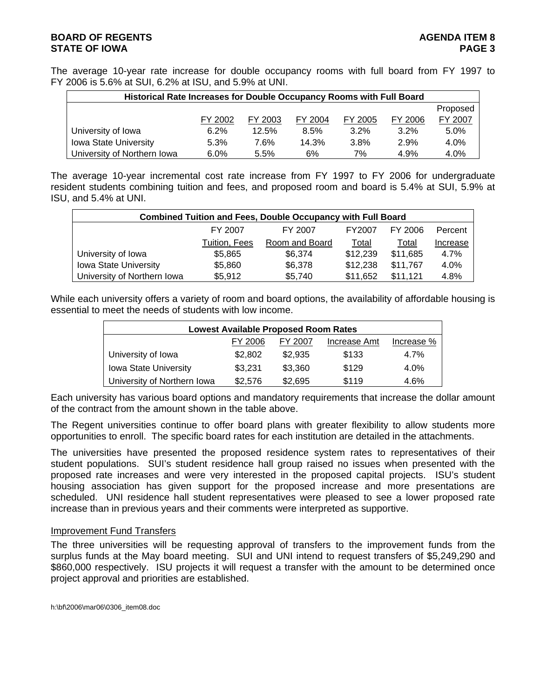## **BOARD OF REGENTS** AGENERATION OF REGENTS AGENERATION OF REGENTS AGENERATION OF REGENTS AGENERATION OF REGENTS AGENERATION OF REGENTS AGENERATION OF REGENTS AGENERATION OF REGENTS AGENERATION OF REGENTS AGENERATION OF REGE **STATE OF IOWA** PAGE 3

The average 10-year rate increase for double occupancy rooms with full board from FY 1997 to FY 2006 is 5.6% at SUI, 6.2% at ISU, and 5.9% at UNI.

| Historical Rate Increases for Double Occupancy Rooms with Full Board |         |         |         |         |         |          |
|----------------------------------------------------------------------|---------|---------|---------|---------|---------|----------|
|                                                                      |         |         |         |         |         | Proposed |
|                                                                      | FY 2002 | FY 2003 | FY 2004 | FY 2005 | FY 2006 | FY 2007  |
| University of Iowa                                                   | 6.2%    | 12.5%   | 8.5%    | $3.2\%$ | 3.2%    | 5.0%     |
| <b>Iowa State University</b>                                         | 5.3%    | 7.6%    | 14.3%   | 3.8%    | 2.9%    | 4.0%     |
| University of Northern Iowa                                          | $6.0\%$ | 5.5%    | 6%      | 7%      | 4.9%    | 4.0%     |

The average 10-year incremental cost rate increase from FY 1997 to FY 2006 for undergraduate resident students combining tuition and fees, and proposed room and board is 5.4% at SUI, 5.9% at ISU, and 5.4% at UNI.

| <b>Combined Tuition and Fees, Double Occupancy with Full Board</b> |               |                |          |          |          |  |  |  |  |  |
|--------------------------------------------------------------------|---------------|----------------|----------|----------|----------|--|--|--|--|--|
|                                                                    | FY 2007       | FY 2007        | FY2007   | FY 2006  | Percent  |  |  |  |  |  |
|                                                                    | Tuition, Fees | Room and Board | Total    | Total    | Increase |  |  |  |  |  |
| University of Iowa                                                 | \$5,865       | \$6,374        | \$12,239 | \$11,685 | 4.7%     |  |  |  |  |  |
| <b>Iowa State University</b>                                       | \$5,860       | \$6,378        | \$12,238 | \$11,767 | 4.0%     |  |  |  |  |  |
| University of Northern Iowa                                        | \$5,912       | \$5,740        | \$11,652 | \$11,121 | 4.8%     |  |  |  |  |  |

While each university offers a variety of room and board options, the availability of affordable housing is essential to meet the needs of students with low income.

| <b>Lowest Available Proposed Room Rates</b> |         |         |              |            |  |  |  |  |  |  |  |
|---------------------------------------------|---------|---------|--------------|------------|--|--|--|--|--|--|--|
|                                             | FY 2006 | FY 2007 | Increase Amt | Increase % |  |  |  |  |  |  |  |
| University of Iowa                          | \$2,802 | \$2,935 | \$133        | 4.7%       |  |  |  |  |  |  |  |
| <b>Iowa State University</b>                | \$3,231 | \$3,360 | \$129        | $4.0\%$    |  |  |  |  |  |  |  |
| University of Northern Iowa                 | \$2,576 | \$2,695 | \$119        | 4.6%       |  |  |  |  |  |  |  |

Each university has various board options and mandatory requirements that increase the dollar amount of the contract from the amount shown in the table above.

The Regent universities continue to offer board plans with greater flexibility to allow students more opportunities to enroll. The specific board rates for each institution are detailed in the attachments.

The universities have presented the proposed residence system rates to representatives of their student populations. SUI's student residence hall group raised no issues when presented with the proposed rate increases and were very interested in the proposed capital projects. ISU's student housing association has given support for the proposed increase and more presentations are scheduled. UNI residence hall student representatives were pleased to see a lower proposed rate increase than in previous years and their comments were interpreted as supportive.

## Improvement Fund Transfers

The three universities will be requesting approval of transfers to the improvement funds from the surplus funds at the May board meeting. SUI and UNI intend to request transfers of \$5,249,290 and \$860,000 respectively. ISU projects it will request a transfer with the amount to be determined once project approval and priorities are established.

```
h:\bf\2006\mar06\0306_item08.doc
```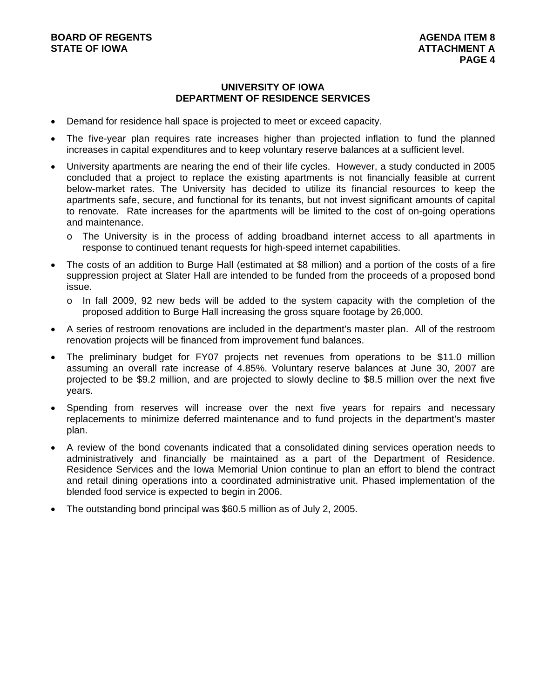## **UNIVERSITY OF IOWA DEPARTMENT OF RESIDENCE SERVICES**

- Demand for residence hall space is projected to meet or exceed capacity.
- The five-year plan requires rate increases higher than projected inflation to fund the planned increases in capital expenditures and to keep voluntary reserve balances at a sufficient level.
- University apartments are nearing the end of their life cycles. However, a study conducted in 2005 concluded that a project to replace the existing apartments is not financially feasible at current below-market rates. The University has decided to utilize its financial resources to keep the apartments safe, secure, and functional for its tenants, but not invest significant amounts of capital to renovate. Rate increases for the apartments will be limited to the cost of on-going operations and maintenance.
	- o The University is in the process of adding broadband internet access to all apartments in response to continued tenant requests for high-speed internet capabilities.
- The costs of an addition to Burge Hall (estimated at \$8 million) and a portion of the costs of a fire suppression project at Slater Hall are intended to be funded from the proceeds of a proposed bond issue.
	- o In fall 2009, 92 new beds will be added to the system capacity with the completion of the proposed addition to Burge Hall increasing the gross square footage by 26,000.
- A series of restroom renovations are included in the department's master plan. All of the restroom renovation projects will be financed from improvement fund balances.
- The preliminary budget for FY07 projects net revenues from operations to be \$11.0 million assuming an overall rate increase of 4.85%. Voluntary reserve balances at June 30, 2007 are projected to be \$9.2 million, and are projected to slowly decline to \$8.5 million over the next five years.
- Spending from reserves will increase over the next five years for repairs and necessary replacements to minimize deferred maintenance and to fund projects in the department's master plan.
- A review of the bond covenants indicated that a consolidated dining services operation needs to administratively and financially be maintained as a part of the Department of Residence. Residence Services and the Iowa Memorial Union continue to plan an effort to blend the contract and retail dining operations into a coordinated administrative unit. Phased implementation of the blended food service is expected to begin in 2006.
- The outstanding bond principal was \$60.5 million as of July 2, 2005.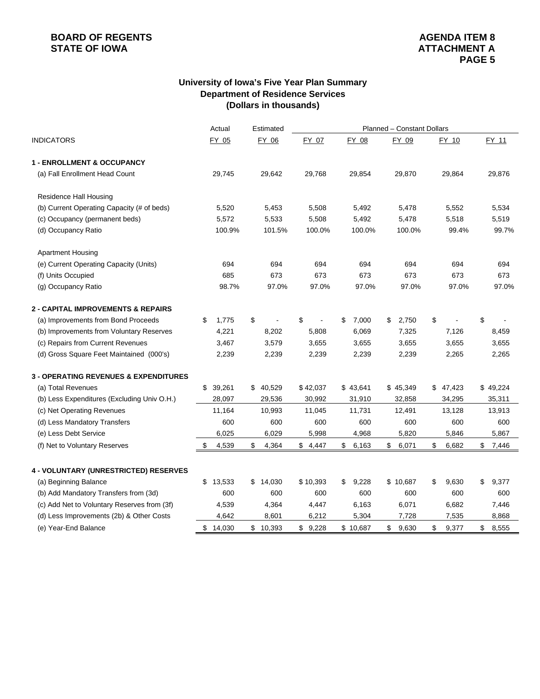# **BOARD OF REGENTS**<br> **BOARD OF REGENTS**<br> **STATE OF IOWA**<br> **ATTACHMENT A**

## **University of Iowa's Five Year Plan Summary Department of Residence Services (Dollars in thousands)**

|                                                  |    | Actual<br>Estimated<br>Planned - Constant Dollars |    |          |                      |    |          |    |          |    |          |             |
|--------------------------------------------------|----|---------------------------------------------------|----|----------|----------------------|----|----------|----|----------|----|----------|-------------|
| <b>INDICATORS</b>                                |    | FY 05                                             |    | FY 06    | FY 07                |    | FY 08    |    | FY 09    |    | FY 10    | FY 11       |
| <b>1 - ENROLLMENT &amp; OCCUPANCY</b>            |    |                                                   |    |          |                      |    |          |    |          |    |          |             |
| (a) Fall Enrollment Head Count                   |    | 29,745                                            |    | 29,642   | 29,768               |    | 29,854   |    | 29,870   |    | 29,864   | 29,876      |
| Residence Hall Housing                           |    |                                                   |    |          |                      |    |          |    |          |    |          |             |
| (b) Current Operating Capacity (# of beds)       |    | 5,520                                             |    | 5,453    | 5,508                |    | 5,492    |    | 5,478    |    | 5,552    | 5,534       |
| (c) Occupancy (permanent beds)                   |    | 5,572                                             |    | 5,533    | 5,508                |    | 5,492    |    | 5,478    |    | 5,518    | 5,519       |
| (d) Occupancy Ratio                              |    | 100.9%                                            |    | 101.5%   | 100.0%               |    | 100.0%   |    | 100.0%   |    | 99.4%    | 99.7%       |
| <b>Apartment Housing</b>                         |    |                                                   |    |          |                      |    |          |    |          |    |          |             |
| (e) Current Operating Capacity (Units)           |    | 694                                               |    | 694      | 694                  |    | 694      |    | 694      |    | 694      | 694         |
| (f) Units Occupied                               |    | 685                                               |    | 673      | 673                  |    | 673      |    | 673      |    | 673      | 673         |
| (g) Occupancy Ratio                              |    | 98.7%                                             |    | 97.0%    | 97.0%                |    | 97.0%    |    | 97.0%    |    | 97.0%    | 97.0%       |
| <b>2 - CAPITAL IMPROVEMENTS &amp; REPAIRS</b>    |    |                                                   |    |          |                      |    |          |    |          |    |          |             |
| (a) Improvements from Bond Proceeds              | S  | 1,775                                             | \$ |          | \$<br>$\blacksquare$ | \$ | 7,000    | \$ | 2,750    | \$ |          | \$          |
| (b) Improvements from Voluntary Reserves         |    | 4,221                                             |    | 8,202    | 5,808                |    | 6,069    |    | 7,325    |    | 7,126    | 8,459       |
| (c) Repairs from Current Revenues                |    | 3,467                                             |    | 3,579    | 3,655                |    | 3,655    |    | 3,655    |    | 3,655    | 3,655       |
| (d) Gross Square Feet Maintained (000's)         |    | 2,239                                             |    | 2,239    | 2,239                |    | 2,239    |    | 2,239    |    | 2,265    | 2,265       |
| <b>3 - OPERATING REVENUES &amp; EXPENDITURES</b> |    |                                                   |    |          |                      |    |          |    |          |    |          |             |
| (a) Total Revenues                               |    | \$39,261                                          |    | \$40,529 | \$42,037             |    | \$43,641 |    | \$45,349 |    | \$47,423 | \$49,224    |
| (b) Less Expenditures (Excluding Univ O.H.)      |    | 28,097                                            |    | 29,536   | 30,992               |    | 31,910   |    | 32,858   |    | 34,295   | 35,311      |
| (c) Net Operating Revenues                       |    | 11,164                                            |    | 10,993   | 11,045               |    | 11,731   |    | 12,491   |    | 13,128   | 13,913      |
| (d) Less Mandatory Transfers                     |    | 600                                               |    | 600      | 600                  |    | 600      |    | 600      |    | 600      | 600         |
| (e) Less Debt Service                            |    | 6,025                                             |    | 6,029    | 5,998                |    | 4,968    |    | 5,820    |    | 5,846    | 5,867       |
| (f) Net to Voluntary Reserves                    | \$ | 4,539                                             | \$ | 4,364    | \$4,447              | \$ | 6,163    | \$ | 6,071    | \$ | 6,682    | \$<br>7,446 |
| 4 - VOLUNTARY (UNRESTRICTED) RESERVES            |    |                                                   |    |          |                      |    |          |    |          |    |          |             |
| (a) Beginning Balance                            | \$ | 13,533                                            | \$ | 14,030   | \$10,393             | \$ | 9,228    |    | \$10,687 | \$ | 9,630    | \$<br>9,377 |
| (b) Add Mandatory Transfers from (3d)            |    | 600                                               |    | 600      | 600                  |    | 600      |    | 600      |    | 600      | 600         |
| (c) Add Net to Voluntary Reserves from (3f)      |    | 4,539                                             |    | 4,364    | 4,447                |    | 6,163    |    | 6,071    |    | 6,682    | 7,446       |
| (d) Less Improvements (2b) & Other Costs         |    | 4,642                                             |    | 8,601    | 6,212                |    | 5,304    |    | 7,728    |    | 7,535    | 8,868       |
| (e) Year-End Balance                             | \$ | 14,030                                            |    | \$10,393 | \$9,228              |    | \$10,687 | \$ | 9,630    | \$ | 9,377    | \$<br>8,555 |
|                                                  |    |                                                   |    |          |                      |    |          |    |          |    |          |             |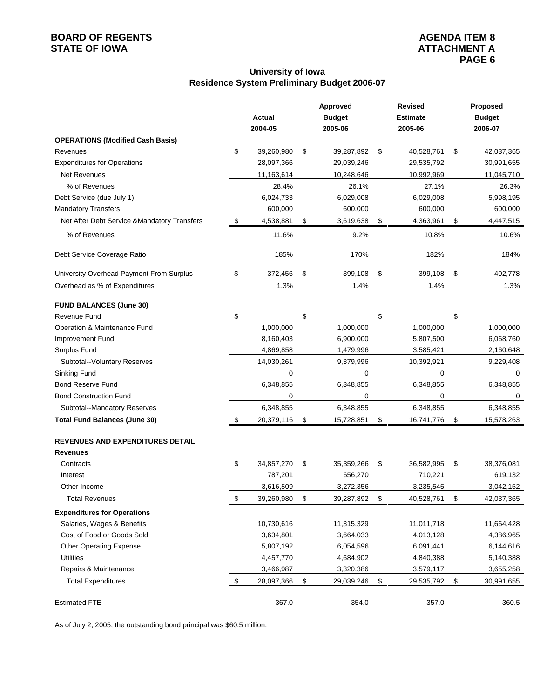# **BOARD OF REGENTS**<br> **BOARD OF REGENTS**<br> **STATE OF IOWA**<br> **ATTACHMENT A**

## **University of Iowa Residence System Preliminary Budget 2006-07**

|                                              |                  | Approved         | Revised          | Proposed         |
|----------------------------------------------|------------------|------------------|------------------|------------------|
|                                              | Actual           | <b>Budget</b>    | <b>Estimate</b>  | <b>Budget</b>    |
|                                              | 2004-05          | 2005-06          | 2005-06          | 2006-07          |
| <b>OPERATIONS (Modified Cash Basis)</b>      |                  |                  |                  |                  |
| Revenues                                     | \$<br>39,260,980 | \$<br>39,287,892 | \$<br>40,528,761 | \$<br>42,037,365 |
| <b>Expenditures for Operations</b>           | 28,097,366       | 29,039,246       | 29,535,792       | 30,991,655       |
| <b>Net Revenues</b>                          | 11,163,614       | 10,248,646       | 10,992,969       | 11,045,710       |
| % of Revenues                                | 28.4%            | 26.1%            | 27.1%            | 26.3%            |
| Debt Service (due July 1)                    | 6,024,733        | 6,029,008        | 6,029,008        | 5,998,195        |
| <b>Mandatory Transfers</b>                   | 600,000          | 600,000          | 600,000          | 600,000          |
| Net After Debt Service & Mandatory Transfers | \$<br>4,538,881  | \$<br>3,619,638  | \$<br>4,363,961  | \$<br>4,447,515  |
| % of Revenues                                | 11.6%            | 9.2%             | 10.8%            | 10.6%            |
| Debt Service Coverage Ratio                  | 185%             | 170%             | 182%             | 184%             |
| University Overhead Payment From Surplus     | \$<br>372,456    | \$<br>399,108    | \$<br>399,108    | \$<br>402,778    |
| Overhead as % of Expenditures                | 1.3%             | 1.4%             | 1.4%             | 1.3%             |
| <b>FUND BALANCES (June 30)</b>               |                  |                  |                  |                  |
| <b>Revenue Fund</b>                          | \$               | \$               | \$               | \$               |
| Operation & Maintenance Fund                 | 1,000,000        | 1,000,000        | 1,000,000        | 1,000,000        |
| Improvement Fund                             | 8,160,403        | 6,900,000        | 5,807,500        | 6,068,760        |
| Surplus Fund                                 | 4,869,858        | 1,479,996        | 3,585,421        | 2,160,648        |
| Subtotal--Voluntary Reserves                 | 14,030,261       | 9,379,996        | 10,392,921       | 9,229,408        |
| Sinking Fund                                 | 0                | 0                | 0                | $\Omega$         |
| <b>Bond Reserve Fund</b>                     | 6,348,855        | 6,348,855        | 6,348,855        | 6,348,855        |
| <b>Bond Construction Fund</b>                | 0                | 0                | 0                | 0                |
| Subtotal--Mandatory Reserves                 | 6,348,855        | 6,348,855        | 6,348,855        | 6,348,855        |
| <b>Total Fund Balances (June 30)</b>         | \$<br>20,379,116 | \$<br>15,728,851 | \$<br>16,741,776 | \$<br>15,578,263 |
| <b>REVENUES AND EXPENDITURES DETAIL</b>      |                  |                  |                  |                  |
| <b>Revenues</b>                              |                  |                  |                  |                  |
| Contracts                                    | \$<br>34,857,270 | \$<br>35,359,266 | \$<br>36,582,995 | \$<br>38,376,081 |
| Interest                                     | 787,201          | 656,270          | 710,221          | 619,132          |
| Other Income                                 | 3,616,509        | 3,272,356        | 3,235,545        | 3,042,152        |
| <b>Total Revenues</b>                        | \$<br>39,260,980 | \$<br>39,287,892 | \$<br>40,528,761 | \$<br>42,037,365 |
| <b>Expenditures for Operations</b>           |                  |                  |                  |                  |
| Salaries, Wages & Benefits                   | 10,730,616       | 11,315,329       | 11,011,718       | 11,664,428       |
| Cost of Food or Goods Sold                   | 3,634,801        | 3,664,033        | 4,013,128        | 4,386,965        |
| <b>Other Operating Expense</b>               | 5,807,192        | 6,054,596        | 6,091,441        | 6,144,616        |
| <b>Utilities</b>                             | 4,457,770        | 4,684,902        | 4,840,388        | 5,140,388        |
| Repairs & Maintenance                        | 3,466,987        | 3,320,386        | 3,579,117        | 3,655,258        |
| <b>Total Expenditures</b>                    | \$<br>28,097,366 | \$<br>29,039,246 | \$<br>29,535,792 | \$<br>30,991,655 |
| <b>Estimated FTE</b>                         | 367.0            | 354.0            | 357.0            | 360.5            |

As of July 2, 2005, the outstanding bond principal was \$60.5 million.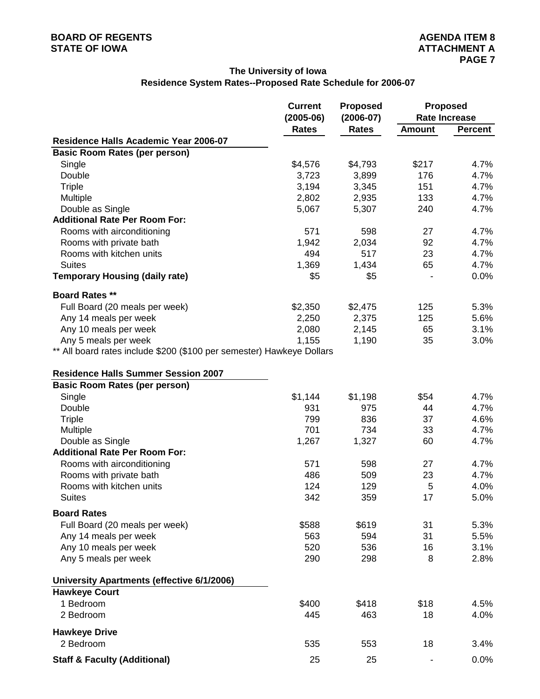## **The University of Iowa**

## **Residence System Rates--Proposed Rate Schedule for 2006-07**

|                                                                       | <b>Current</b> | <b>Proposed</b> | <b>Proposed</b> |                      |  |  |
|-----------------------------------------------------------------------|----------------|-----------------|-----------------|----------------------|--|--|
|                                                                       | $(2005-06)$    | $(2006 - 07)$   |                 | <b>Rate Increase</b> |  |  |
|                                                                       | <b>Rates</b>   | <b>Rates</b>    | <b>Amount</b>   | <b>Percent</b>       |  |  |
| Residence Halls Academic Year 2006-07                                 |                |                 |                 |                      |  |  |
| <b>Basic Room Rates (per person)</b>                                  |                |                 |                 |                      |  |  |
| Single                                                                | \$4,576        | \$4,793         | \$217           | 4.7%                 |  |  |
| Double                                                                | 3,723          | 3,899           | 176             | 4.7%                 |  |  |
| <b>Triple</b>                                                         | 3,194          | 3,345           | 151             | 4.7%                 |  |  |
| Multiple                                                              | 2,802          | 2,935           | 133             | 4.7%                 |  |  |
| Double as Single                                                      | 5,067          | 5,307           | 240             | 4.7%                 |  |  |
| <b>Additional Rate Per Room For:</b>                                  |                |                 |                 |                      |  |  |
| Rooms with airconditioning                                            | 571            | 598             | 27              | 4.7%                 |  |  |
| Rooms with private bath                                               | 1,942          | 2,034           | 92              | 4.7%                 |  |  |
| Rooms with kitchen units                                              | 494            | 517             | 23              | 4.7%                 |  |  |
| <b>Suites</b>                                                         | 1,369          | 1,434           | 65              | 4.7%                 |  |  |
| <b>Temporary Housing (daily rate)</b>                                 | \$5            | \$5             |                 | 0.0%                 |  |  |
| <b>Board Rates **</b>                                                 |                |                 |                 |                      |  |  |
| Full Board (20 meals per week)                                        | \$2,350        | \$2,475         | 125             | 5.3%                 |  |  |
| Any 14 meals per week                                                 | 2,250          | 2,375           | 125             | 5.6%                 |  |  |
| Any 10 meals per week                                                 | 2,080          | 2,145           | 65              | 3.1%                 |  |  |
| Any 5 meals per week                                                  | 1,155          | 1,190           | 35              | 3.0%                 |  |  |
| ** All board rates include \$200 (\$100 per semester) Hawkeye Dollars |                |                 |                 |                      |  |  |
|                                                                       |                |                 |                 |                      |  |  |
| <b>Residence Halls Summer Session 2007</b>                            |                |                 |                 |                      |  |  |
| <b>Basic Room Rates (per person)</b>                                  |                |                 |                 |                      |  |  |
| Single                                                                | \$1,144        | \$1,198         | \$54            | 4.7%                 |  |  |
| Double                                                                | 931            | 975             | 44              | 4.7%                 |  |  |
| <b>Triple</b>                                                         | 799            | 836             | 37              | 4.6%                 |  |  |
| Multiple                                                              | 701            | 734             | 33              | 4.7%                 |  |  |
| Double as Single                                                      | 1,267          | 1,327           | 60              | 4.7%                 |  |  |
| <b>Additional Rate Per Room For:</b>                                  |                |                 |                 |                      |  |  |
| Rooms with airconditioning                                            | 571            | 598             | 27              | 4.7%                 |  |  |
| Rooms with private bath                                               | 486            | 509             | 23              | 4.7%                 |  |  |
| Rooms with kitchen units                                              | 124            | 129             | 5               | 4.0%                 |  |  |
| <b>Suites</b>                                                         | 342            | 359             | 17              | 5.0%                 |  |  |
| <b>Board Rates</b>                                                    |                |                 |                 |                      |  |  |
| Full Board (20 meals per week)                                        | \$588          | \$619           | 31              | 5.3%                 |  |  |
| Any 14 meals per week                                                 | 563            | 594             | 31              | 5.5%                 |  |  |
| Any 10 meals per week                                                 | 520            | 536             | 16              | 3.1%                 |  |  |
| Any 5 meals per week                                                  | 290            | 298             | 8               | 2.8%                 |  |  |
|                                                                       |                |                 |                 |                      |  |  |
| University Apartments (effective 6/1/2006)                            |                |                 |                 |                      |  |  |
| <b>Hawkeye Court</b>                                                  |                |                 |                 |                      |  |  |
| 1 Bedroom                                                             | \$400          | \$418           | \$18            | 4.5%                 |  |  |
| 2 Bedroom                                                             | 445            | 463             | 18              | 4.0%                 |  |  |
| <b>Hawkeye Drive</b>                                                  |                |                 |                 |                      |  |  |
| 2 Bedroom                                                             | 535            | 553             | 18              | 3.4%                 |  |  |
| <b>Staff &amp; Faculty (Additional)</b>                               | 25             | 25              |                 | 0.0%                 |  |  |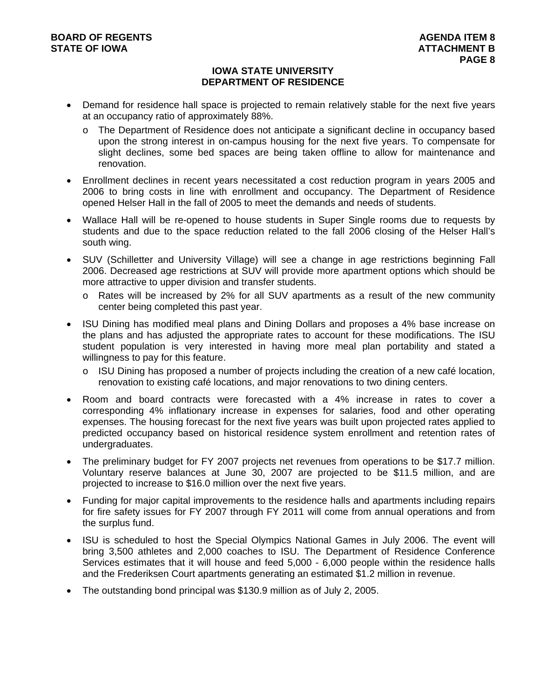## **IOWA STATE UNIVERSITY DEPARTMENT OF RESIDENCE**

- Demand for residence hall space is projected to remain relatively stable for the next five years at an occupancy ratio of approximately 88%.
	- o The Department of Residence does not anticipate a significant decline in occupancy based upon the strong interest in on-campus housing for the next five years. To compensate for slight declines, some bed spaces are being taken offline to allow for maintenance and renovation.
- Enrollment declines in recent years necessitated a cost reduction program in years 2005 and 2006 to bring costs in line with enrollment and occupancy. The Department of Residence opened Helser Hall in the fall of 2005 to meet the demands and needs of students.
- Wallace Hall will be re-opened to house students in Super Single rooms due to requests by students and due to the space reduction related to the fall 2006 closing of the Helser Hall's south wing.
- SUV (Schilletter and University Village) will see a change in age restrictions beginning Fall 2006. Decreased age restrictions at SUV will provide more apartment options which should be more attractive to upper division and transfer students.
	- o Rates will be increased by 2% for all SUV apartments as a result of the new community center being completed this past year.
- ISU Dining has modified meal plans and Dining Dollars and proposes a 4% base increase on the plans and has adjusted the appropriate rates to account for these modifications. The ISU student population is very interested in having more meal plan portability and stated a willingness to pay for this feature.
	- $\circ$  ISU Dining has proposed a number of projects including the creation of a new café location, renovation to existing café locations, and major renovations to two dining centers.
- Room and board contracts were forecasted with a 4% increase in rates to cover a corresponding 4% inflationary increase in expenses for salaries, food and other operating expenses. The housing forecast for the next five years was built upon projected rates applied to predicted occupancy based on historical residence system enrollment and retention rates of undergraduates.
- The preliminary budget for FY 2007 projects net revenues from operations to be \$17.7 million. Voluntary reserve balances at June 30, 2007 are projected to be \$11.5 million, and are projected to increase to \$16.0 million over the next five years.
- Funding for major capital improvements to the residence halls and apartments including repairs for fire safety issues for FY 2007 through FY 2011 will come from annual operations and from the surplus fund.
- ISU is scheduled to host the Special Olympics National Games in July 2006. The event will bring 3,500 athletes and 2,000 coaches to ISU. The Department of Residence Conference Services estimates that it will house and feed 5,000 - 6,000 people within the residence halls and the Frederiksen Court apartments generating an estimated \$1.2 million in revenue.
- The outstanding bond principal was \$130.9 million as of July 2, 2005.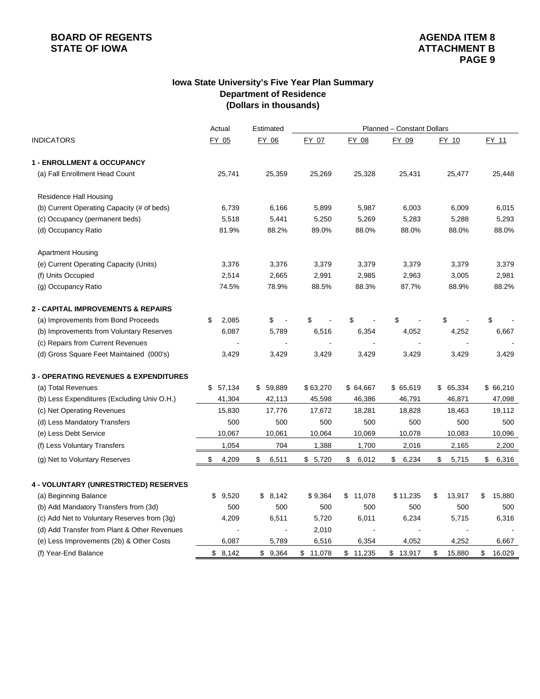# **BOARD OF REGENTS**<br> **BOARD OF REGENTS**<br> **STATE OF IOWA**<br> **BOARD OF REGENTS**

## **Iowa State University's Five Year Plan Summary Department of Residence (Dollars in thousands)**

|                                                  | Estimated   | Planned - Constant Dollars |          |              |             |              |              |  |  |
|--------------------------------------------------|-------------|----------------------------|----------|--------------|-------------|--------------|--------------|--|--|
| <b>INDICATORS</b>                                | FY 05       | FY 06                      | FY 07    | FY 08        | FY 09       | FY 10        | FY 11        |  |  |
| <b>1 - ENROLLMENT &amp; OCCUPANCY</b>            |             |                            |          |              |             |              |              |  |  |
| (a) Fall Enrollment Head Count                   | 25,741      | 25,359                     | 25,269   | 25,328       | 25,431      | 25,477       | 25,448       |  |  |
| Residence Hall Housing                           |             |                            |          |              |             |              |              |  |  |
| (b) Current Operating Capacity (# of beds)       | 6,739       | 6,166                      | 5,899    | 5,987        | 6,003       | 6,009        | 6,015        |  |  |
| (c) Occupancy (permanent beds)                   | 5,518       | 5,441                      | 5,250    | 5,269        | 5,283       | 5,288        | 5,293        |  |  |
| (d) Occupancy Ratio                              | 81.9%       | 88.2%                      | 89.0%    | 88.0%        | 88.0%       | 88.0%        | 88.0%        |  |  |
| <b>Apartment Housing</b>                         |             |                            |          |              |             |              |              |  |  |
| (e) Current Operating Capacity (Units)           | 3,376       | 3,376                      | 3,379    | 3,379        | 3,379       | 3,379        | 3,379        |  |  |
| (f) Units Occupied                               | 2,514       | 2,665                      | 2,991    | 2,985        | 2,963       | 3,005        | 2,981        |  |  |
| (g) Occupancy Ratio                              | 74.5%       | 78.9%                      | 88.5%    | 88.3%        | 87.7%       | 88.9%        | 88.2%        |  |  |
| <b>2 - CAPITAL IMPROVEMENTS &amp; REPAIRS</b>    |             |                            |          |              |             |              |              |  |  |
| (a) Improvements from Bond Proceeds              | \$<br>2,085 | \$                         | \$       | \$           | \$          | \$           | \$           |  |  |
| (b) Improvements from Voluntary Reserves         | 6,087       | 5,789                      | 6,516    | 6,354        | 4,052       | 4,252        | 6,667        |  |  |
| (c) Repairs from Current Revenues                |             |                            |          |              |             |              |              |  |  |
| (d) Gross Square Feet Maintained (000's)         | 3,429       | 3,429                      | 3,429    | 3,429        | 3,429       | 3,429        | 3,429        |  |  |
| <b>3 - OPERATING REVENUES &amp; EXPENDITURES</b> |             |                            |          |              |             |              |              |  |  |
| (a) Total Revenues                               | \$57,134    | \$59,889                   | \$63,270 | \$64,667     | \$65,619    | \$65,334     | \$66,210     |  |  |
| (b) Less Expenditures (Excluding Univ O.H.)      | 41,304      | 42,113                     | 45,598   | 46,386       | 46,791      | 46,871       | 47,098       |  |  |
| (c) Net Operating Revenues                       | 15,830      | 17,776                     | 17,672   | 18,281       | 18,828      | 18,463       | 19,112       |  |  |
| (d) Less Mandatory Transfers                     | 500         | 500                        | 500      | 500          | 500         | 500          | 500          |  |  |
| (e) Less Debt Service                            | 10,067      | 10,061                     | 10,064   | 10,069       | 10,078      | 10,083       | 10,096       |  |  |
| (f) Less Voluntary Transfers                     | 1,054       | 704                        | 1,388    | 1,700        | 2,016       | 2,165        | 2,200        |  |  |
| (g) Net to Voluntary Reserves                    | \$<br>4,209 | \$<br>6,511                | \$5,720  | \$<br>6,012  | \$<br>6,234 | \$<br>5,715  | \$<br>6,316  |  |  |
| 4 - VOLUNTARY (UNRESTRICTED) RESERVES            |             |                            |          |              |             |              |              |  |  |
| (a) Beginning Balance                            | 9,520<br>\$ | \$8,142                    | \$9,364  | \$<br>11,078 | \$11,235    | \$<br>13,917 | \$<br>15,880 |  |  |
| (b) Add Mandatory Transfers from (3d)            | 500         | 500                        | 500      | 500          | 500         | 500          | 500          |  |  |
| (c) Add Net to Voluntary Reserves from (3g)      | 4,209       | 6,511                      | 5,720    | 6,011        | 6,234       | 5,715        | 6,316        |  |  |
| (d) Add Transfer from Plant & Other Revenues     |             |                            | 2,010    |              |             |              |              |  |  |
| (e) Less Improvements (2b) & Other Costs         | 6,087       | 5,789                      | 6,516    | 6,354        | 4,052       | 4,252        | 6,667        |  |  |
| (f) Year-End Balance                             | \$8,142     | \$9,364                    | \$11,078 | \$11,235     | \$13,917    | \$<br>15,880 | \$<br>16,029 |  |  |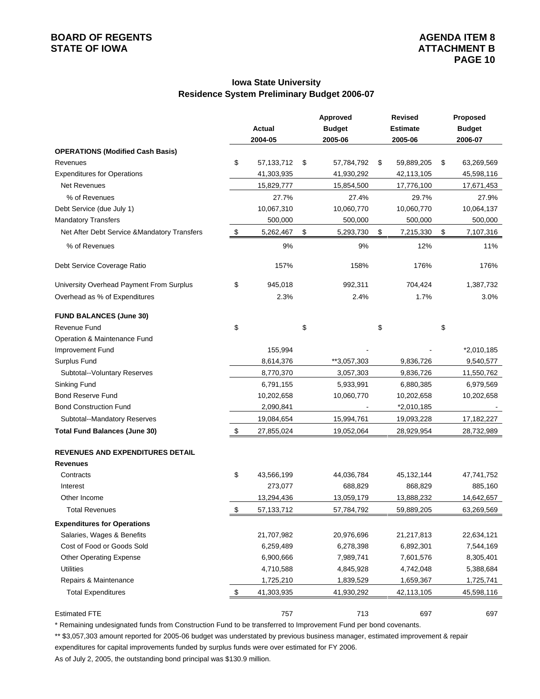# **BOARD OF REGENTS**<br> **BOARD OF REGENTS**<br> **BOARD OF IOWA**<br> **ATTACHMENT B**

## **Iowa State University Residence System Preliminary Budget 2006-07**

|                                              |               |              | Approved         | <b>Revised</b>   | Proposed         |
|----------------------------------------------|---------------|--------------|------------------|------------------|------------------|
|                                              |               | Actual       | <b>Budget</b>    | <b>Estimate</b>  | <b>Budget</b>    |
|                                              |               | 2004-05      | 2005-06          | 2005-06          | 2006-07          |
| <b>OPERATIONS (Modified Cash Basis)</b>      |               |              |                  |                  |                  |
| Revenues                                     | \$            | 57,133,712   | \$<br>57,784,792 | \$<br>59,889,205 | \$<br>63,269,569 |
| <b>Expenditures for Operations</b>           |               | 41,303,935   | 41,930,292       | 42,113,105       | 45,598,116       |
| Net Revenues                                 |               | 15,829,777   | 15,854,500       | 17,776,100       | 17,671,453       |
| % of Revenues                                |               | 27.7%        | 27.4%            | 29.7%            | 27.9%            |
| Debt Service (due July 1)                    |               | 10,067,310   | 10,060,770       | 10,060,770       | 10,064,137       |
| <b>Mandatory Transfers</b>                   |               | 500,000      | 500,000          | 500,000          | 500,000          |
| Net After Debt Service & Mandatory Transfers | \$            | 5,262,467    | \$<br>5,293,730  | \$<br>7,215,330  | \$<br>7,107,316  |
| % of Revenues                                |               | 9%           | 9%               | 12%              | 11%              |
| Debt Service Coverage Ratio                  |               | 157%         | 158%             | 176%             | 176%             |
| University Overhead Payment From Surplus     | \$            | 945,018      | 992,311          | 704,424          | 1,387,732        |
| Overhead as % of Expenditures                |               | 2.3%         | 2.4%             | 1.7%             | 3.0%             |
| <b>FUND BALANCES (June 30)</b>               |               |              |                  |                  |                  |
| Revenue Fund                                 | \$            |              | \$               | \$               | \$               |
| Operation & Maintenance Fund                 |               |              |                  |                  |                  |
| Improvement Fund                             |               | 155,994      |                  |                  | $*2,010,185$     |
| Surplus Fund                                 |               | 8,614,376    | **3,057,303      | 9,836,726        | 9,540,577        |
| Subtotal--Voluntary Reserves                 |               | 8,770,370    | 3,057,303        | 9,836,726        | 11,550,762       |
| Sinking Fund                                 |               | 6,791,155    | 5,933,991        | 6,880,385        | 6,979,569        |
| <b>Bond Reserve Fund</b>                     |               | 10,202,658   | 10,060,770       | 10,202,658       | 10,202,658       |
| <b>Bond Construction Fund</b>                |               | 2,090,841    |                  | *2,010,185       |                  |
| Subtotal--Mandatory Reserves                 |               | 19,084,654   | 15,994,761       | 19,093,228       | 17,182,227       |
| <b>Total Fund Balances (June 30)</b>         | \$            | 27,855,024   | 19,052,064       | 28,929,954       | 28,732,989       |
| <b>REVENUES AND EXPENDITURES DETAIL</b>      |               |              |                  |                  |                  |
| <b>Revenues</b>                              |               |              |                  |                  |                  |
| Contracts                                    | \$            | 43,566,199   | 44,036,784       | 45, 132, 144     | 47,741,752       |
| Interest                                     |               | 273,077      | 688,829          | 868,829          | 885,160          |
| Other Income                                 |               | 13,294,436   | 13,059,179       | 13,888,232       | 14,642,657       |
| <b>Total Revenues</b>                        | $\frac{1}{2}$ | 57, 133, 712 | 57,784,792       | 59,889,205       | 63,269,569       |
| <b>Expenditures for Operations</b>           |               |              |                  |                  |                  |
| Salaries, Wages & Benefits                   |               | 21,707,982   | 20,976,696       | 21,217,813       | 22,634,121       |
| Cost of Food or Goods Sold                   |               | 6,259,489    | 6,278,398        | 6,892,301        | 7,544,169        |
| <b>Other Operating Expense</b>               |               | 6,900,666    | 7,989,741        | 7,601,576        | 8,305,401        |
| <b>Utilities</b>                             |               | 4,710,588    | 4,845,928        | 4,742,048        | 5,388,684        |
| Repairs & Maintenance                        |               | 1,725,210    | 1,839,529        | 1,659,367        | 1,725,741        |
| <b>Total Expenditures</b>                    | \$            | 41,303,935   | 41,930,292       | 42,113,105       | 45,598,116       |
| <b>Estimated FTE</b>                         |               | 757          | 713              | 697              | 697              |

\* Remaining undesignated funds from Construction Fund to be transferred to Improvement Fund per bond covenants.

\*\* \$3,057,303 amount reported for 2005-06 budget was understated by previous business manager, estimated improvement & repair expenditures for capital improvements funded by surplus funds were over estimated for FY 2006.

As of July 2, 2005, the outstanding bond principal was \$130.9 million.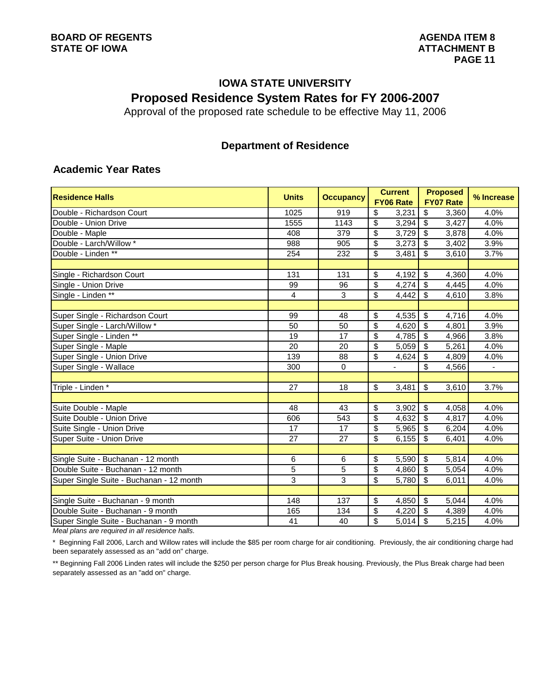# **IOWA STATE UNIVERSITY Proposed Residence System Rates for FY 2006-2007**

Approval of the proposed rate schedule to be effective May 11, 2006

## **Department of Residence**

## **Academic Year Rates**

| <b>Residence Halls</b>                                                                   | <b>Units</b> | <b>Occupancy</b> | <b>Current</b><br><b>FY06 Rate</b> | <b>Proposed</b><br><b>FY07 Rate</b> | % Increase               |
|------------------------------------------------------------------------------------------|--------------|------------------|------------------------------------|-------------------------------------|--------------------------|
| Double - Richardson Court                                                                | 1025         | 919              | \$<br>3,231                        | \$<br>3,360                         | 4.0%                     |
| Double - Union Drive                                                                     | 1555         | 1143             | \$<br>3,294                        | $\overline{\mathbf{3}}$<br>3,427    | 4.0%                     |
| Double - Maple                                                                           | 408          | 379              | \$<br>3.729                        | \$<br>3,878                         | 4.0%                     |
| Double - Larch/Willow *                                                                  | 988          | 905              | \$<br>3,273                        | $\sqrt[6]{3}$<br>3,402              | 3.9%                     |
| Double - Linden **                                                                       | 254          | 232              | \$<br>3,481                        | $\mathfrak{s}$<br>3,610             | 3.7%                     |
|                                                                                          |              |                  |                                    |                                     |                          |
| Single - Richardson Court                                                                | 131          | 131              | \$<br>4,192                        | $\sqrt[6]{\frac{1}{2}}$<br>4,360    | 4.0%                     |
| Single - Union Drive                                                                     | 99           | 96               | \$<br>4,274                        | $\sqrt[6]{3}$<br>4,445              | 4.0%                     |
| Single - Linden **                                                                       | 4            | 3                | \$<br>4,442                        | $\overline{\mathbf{s}}$<br>4,610    | 3.8%                     |
|                                                                                          |              |                  |                                    |                                     |                          |
| Super Single - Richardson Court                                                          | 99           | 48               | \$<br>4,535                        | \$<br>4,716                         | 4.0%                     |
| Super Single - Larch/Willow *                                                            | 50           | 50               | \$<br>4,620                        | $\mathcal{S}$<br>4,801              | 3.9%                     |
| Super Single - Linden **                                                                 | 19           | 17               | \$<br>4,785                        | $\sqrt{3}$<br>4,966                 | 3.8%                     |
| Super Single - Maple                                                                     | 20           | 20               | $\overline{\$}$<br>5,059           | $\overline{\mathcal{S}}$<br>5,261   | 4.0%                     |
| Super Single - Union Drive                                                               | 139          | 88               | $\overline{\mathcal{S}}$<br>4,624  | $\overline{\mathbf{3}}$<br>4,809    | 4.0%                     |
| Super Single - Wallace                                                                   | 300          | $\mathbf 0$      |                                    | $\overline{\mathbf{s}}$<br>4,566    | $\overline{\phantom{a}}$ |
|                                                                                          |              |                  |                                    |                                     |                          |
| Triple - Linden *                                                                        | 27           | 18               | $\overline{\mathcal{S}}$<br>3,481  | $\overline{\mathbf{s}}$<br>3,610    | 3.7%                     |
|                                                                                          |              |                  |                                    |                                     |                          |
| Suite Double - Maple                                                                     | 48           | 43               | \$<br>3,902                        | $\sqrt[6]{3}$<br>4,058              | 4.0%                     |
| Suite Double - Union Drive                                                               | 606          | 543              | $\overline{\mathbf{S}}$<br>4,632   | $\overline{\mathbf{3}}$<br>4,817    | 4.0%                     |
| Suite Single - Union Drive                                                               | 17           | 17               | \$<br>5,965                        | \$<br>6,204                         | 4.0%                     |
| Super Suite - Union Drive                                                                | 27           | 27               | $\overline{\mathbb{S}}$<br>6,155   | $\overline{\mathbf{s}}$<br>6,401    | 4.0%                     |
|                                                                                          |              |                  |                                    |                                     |                          |
| Single Suite - Buchanan - 12 month                                                       | 6            | 6                | \$<br>5,590                        | \$<br>5,814                         | 4.0%                     |
| Double Suite - Buchanan - 12 month                                                       | 5            | 5                | \$<br>4,860                        | $\sqrt{3}$<br>5,054                 | 4.0%                     |
| Super Single Suite - Buchanan - 12 month                                                 | 3            | 3                | \$<br>5,780                        | $\overline{s}$<br>6,011             | 4.0%                     |
|                                                                                          |              |                  |                                    |                                     |                          |
| Single Suite - Buchanan - 9 month                                                        | 148          | 137              | \$<br>4,850                        | $\boldsymbol{\mathsf{S}}$<br>5,044  | 4.0%                     |
| Double Suite - Buchanan - 9 month                                                        | 165          | 134              | \$<br>4,220                        | $\sqrt[6]{3}$<br>4,389              | 4.0%                     |
| Super Single Suite - Buchanan - 9 month<br>Meetalers are required in all residence balls | 41           | 40               | \$<br>5,014                        | $\overline{\mathbf{s}}$<br>5,215    | 4.0%                     |

*Meal plans are required in all residence halls.*

\* Beginning Fall 2006, Larch and Willow rates will include the \$85 per room charge for air conditioning. Previously, the air conditioning charge had been separately assessed as an "add on" charge.

\*\* Beginning Fall 2006 Linden rates will include the \$250 per person charge for Plus Break housing. Previously, the Plus Break charge had been separately assessed as an "add on" charge.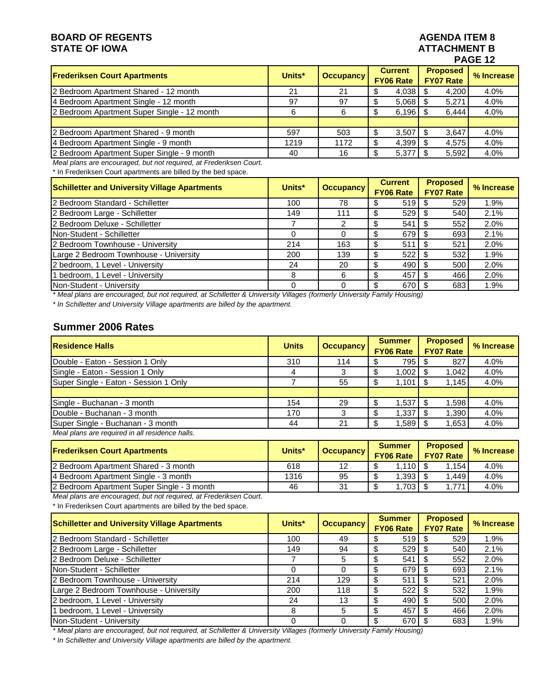# **BOARD OF REGENTS AGENUAL STATE OF IOWA**<br> **BOARD OF IOWA**<br> **BOARD OF IOWA**

# **ATTACHMENT B PAGE 12**

| <b>Frederiksen Court Apartments</b>         | Units* | <b>Occupancy</b> | <b>Current</b><br><b>FY06 Rate</b> | <b>Proposed</b><br><b>FY07 Rate</b> | % Increase |  |  |
|---------------------------------------------|--------|------------------|------------------------------------|-------------------------------------|------------|--|--|
| 2 Bedroom Apartment Shared - 12 month       | 21     | 21               | 4,038<br>ъ                         | 4,200                               | 4.0%       |  |  |
| 4 Bedroom Apartment Single - 12 month       | 97     | 97               | 5.068<br>S                         | 5,271                               | 4.0%       |  |  |
| 2 Bedroom Apartment Super Single - 12 month | 6      | 6                | 6.196                              | 6.444                               | 4.0%       |  |  |
|                                             |        |                  |                                    |                                     |            |  |  |
| 2 Bedroom Apartment Shared - 9 month        | 597    | 503              | 3.507<br>\$                        | 3.647                               | 4.0%       |  |  |
| 4 Bedroom Apartment Single - 9 month        | 1219   | 1172             | 4,399<br>S                         | 4,575                               | 4.0%       |  |  |
| 2 Bedroom Apartment Super Single - 9 month  | 40     | 16               | 5,377<br>\$                        | 5,592                               | 4.0%       |  |  |
|                                             |        |                  |                                    |                                     |            |  |  |

*Meal plans are encouraged, but not required, at Frederiksen Court.*

\* In Frederiksen Court apartments are billed by the bed space.

| <b>Schilletter and University Village Apartments</b> | Units* | <b>Occupancy</b> | <b>Current</b><br><b>FY06 Rate</b> | <b>Proposed</b><br><b>FY07 Rate</b> | % Increase |
|------------------------------------------------------|--------|------------------|------------------------------------|-------------------------------------|------------|
| 2 Bedroom Standard - Schilletter                     | 100    | 78               | 519                                | 529                                 | 1.9%       |
| 2 Bedroom Large - Schilletter                        | 149    | 111              | $529$ \$                           | 540                                 | 2.1%       |
| 2 Bedroom Deluxe - Schilletter                       |        |                  | 541                                | 552                                 | 2.0%       |
| Non-Student - Schilletter                            | 0      |                  | 679                                | 693                                 | 2.1%       |
| 2 Bedroom Townhouse - University                     | 214    | 163              | 511                                | 521                                 | 2.0%       |
| Large 2 Bedroom Townhouse - University               | 200    | 139              | 522<br>S                           | 532                                 | 1.9%       |
| 2 bedroom, 1 Level - University                      | 24     | 20               | 490<br>\$                          | 500                                 | 2.0%       |
| 1 bedroom, 1 Level - University                      | 8      | 6                | 457<br>\$.                         | 466                                 | 2.0%       |
| Non-Student - University                             | 0      |                  | 670                                | 683                                 | 1.9%       |

*\* Meal plans are encouraged, but not required, at Schilletter & University Villages (formerly University Family Housing)*

*\* In Schilletter and University Village apartments are billed by the apartment.*

## **Summer 2006 Rates**

| <b>Residence Halls</b>                          | <b>Units</b> | <b>Occupancy</b> | <b>Summer</b><br><b>FY06 Rate</b> | <b>Proposed</b><br><b>FY07 Rate</b> | % Increase |
|-------------------------------------------------|--------------|------------------|-----------------------------------|-------------------------------------|------------|
| Double - Eaton - Session 1 Only                 | 310          | 114              | 795 I                             | 827                                 | 4.0%       |
| Single - Eaton - Session 1 Only                 | 4            |                  | 1,002                             | 1.042                               | 4.0%       |
| Super Single - Eaton - Session 1 Only           |              | 55               | 1.101                             | 1.145                               | 4.0%       |
|                                                 |              |                  |                                   |                                     |            |
| Single - Buchanan - 3 month                     | 154          | 29               | $1,537$ \$                        | 1.598                               | 4.0%       |
| Double - Buchanan - 3 month                     | 170          |                  | 1,337                             | 1,390                               | 4.0%       |
| Super Single - Buchanan - 3 month               | 44           | 21               | 1,589                             | 1,653                               | 4.0%       |
| Meal plans are required in all residence halls. |              |                  |                                   |                                     |            |

| <b>Frederiksen Court Apartments</b>        | Units* | <b>Occupancy</b> | <b>Summer</b><br><b>FY06 Rate</b> | <b>Proposed</b><br><b>FY07 Rate</b> | % Increase |
|--------------------------------------------|--------|------------------|-----------------------------------|-------------------------------------|------------|
| 2 Bedroom Apartment Shared - 3 month       | 618    | 12               | .1101                             | 1.154                               | 4.0%       |
| 14 Bedroom Apartment Single - 3 month      | 1316   | 95               | $1,393$ ,                         | 1.449                               | 4.0%       |
| 2 Bedroom Apartment Super Single - 3 month | 46     | -31              | $1.703$ $\sim$                    | 1.771                               | 4.0%       |

*Meal plans are encouraged, but not required, at Frederiksen Court.* \* In Frederiksen Court apartments are billed by the bed space.

| <b>Schilletter and University Village Apartments</b> | Units* | <b>Occupancy</b> | <b>Summer</b><br><b>FY06 Rate</b> | <b>Proposed</b><br><b>FY07 Rate</b> | % Increase |
|------------------------------------------------------|--------|------------------|-----------------------------------|-------------------------------------|------------|
| 2 Bedroom Standard - Schilletter                     | 100    | 49               | 519 L<br>S                        | 529                                 | 1.9%       |
| 2 Bedroom Large - Schilletter                        | 149    | 94               | 529 L<br>S                        | 540                                 | 2.1%       |
| 2 Bedroom Deluxe - Schilletter                       |        | 5                | 541<br>\$                         | 552                                 | 2.0%       |
| <b>Non-Student - Schilletter</b>                     |        |                  | 679<br>\$.                        | 693                                 | 2.1%       |
| 2 Bedroom Townhouse - University                     | 214    | 129              | 511<br>\$                         | 521                                 | 2.0%       |
| Large 2 Bedroom Townhouse - University               | 200    | 118              | 522<br>\$.                        | 532                                 | 1.9%       |
| 2 bedroom, 1 Level - University                      | 24     | 13               | 490<br>\$.                        | 500                                 | 2.0%       |
| 1 bedroom, 1 Level - University                      | 8      | 5                | 457<br>\$                         | 466                                 | 2.0%       |
| Non-Student - University                             |        |                  | 670                               | 683                                 | 1.9%       |

*\* Meal plans are encouraged, but not required, at Schilletter & University Villages (formerly University Family Housing)*

*\* In Schilletter and University Village apartments are billed by the apartment.*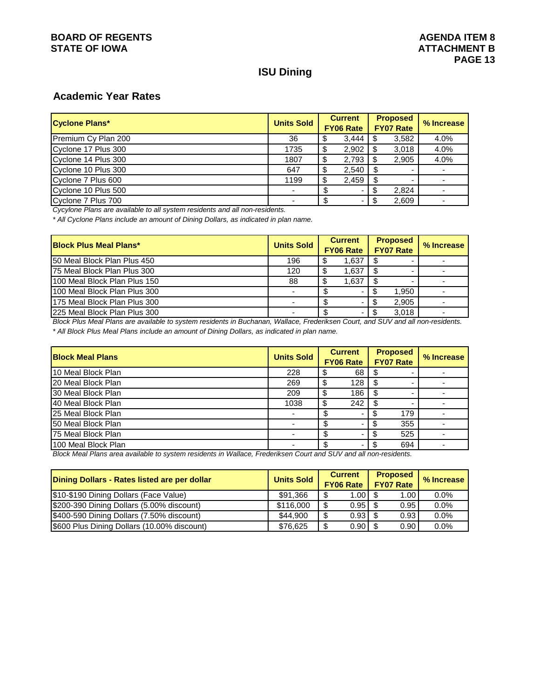## **ISU Dining**

## **Academic Year Rates**

| <b>Cyclone Plans*</b> | <b>Units Sold</b> | <b>Current</b><br><b>FY06 Rate</b> |       | <b>Proposed</b><br><b>FY07 Rate</b> |       | % Increase |
|-----------------------|-------------------|------------------------------------|-------|-------------------------------------|-------|------------|
| Premium Cy Plan 200   | 36                |                                    | 3.444 | \$.                                 | 3,582 | 4.0%       |
| Cyclone 17 Plus 300   | 1735              | c                                  | 2,902 | \$                                  | 3,018 | 4.0%       |
| Cyclone 14 Plus 300   | 1807              |                                    | 2,793 | \$                                  | 2.905 | 4.0%       |
| Cyclone 10 Plus 300   | 647               | ъĐ                                 | 2,540 | \$                                  |       |            |
| Cyclone 7 Plus 600    | 1199              |                                    | 2,459 | \$                                  |       |            |
| Cyclone 10 Plus 500   |                   |                                    |       | \$                                  | 2.824 |            |
| Cyclone 7 Plus 700    |                   |                                    |       |                                     | 2,609 |            |

*Cycylone Plans are available to all system residents and all non-residents.*

*\* All Cyclone Plans include an amount of Dining Dollars, as indicated in plan name.*

| <b>Block Plus Meal Plans*</b> | <b>Units Sold</b> | <b>Current</b>   |                          | <b>Proposed</b>  |       | % Increase |
|-------------------------------|-------------------|------------------|--------------------------|------------------|-------|------------|
|                               |                   | <b>FY06 Rate</b> |                          | <b>FY07 Rate</b> |       |            |
| 150 Meal Block Plan Plus 450  | 196               |                  | 1,637                    |                  |       |            |
| 175 Meal Block Plan Plus 300  | 120               |                  | 1,637                    |                  |       |            |
| 100 Meal Block Plan Plus 150  | 88                |                  | 1,637                    |                  |       |            |
| 100 Meal Block Plan Plus 300  |                   |                  |                          |                  | 1,950 |            |
| 1175 Meal Block Plan Plus 300 |                   |                  |                          |                  | 2,905 |            |
| 1225 Meal Block Plan Plus 300 |                   |                  | $\overline{\phantom{a}}$ |                  | 3,018 |            |

*Block Plus Meal Plans are available to system residents in Buchanan, Wallace, Frederiksen Court, and SUV and all non-residents. \* All Block Plus Meal Plans include an amount of Dining Dollars, as indicated in plan name.*

| <b>Block Meal Plans</b> | <b>Units Sold</b> | <b>Current</b><br><b>FY06 Rate</b> |     | <b>Proposed</b><br><b>FY07 Rate</b> |     | % Increase |
|-------------------------|-------------------|------------------------------------|-----|-------------------------------------|-----|------------|
| 10 Meal Block Plan      | 228               |                                    | 68  |                                     |     |            |
| 20 Meal Block Plan      | 269               |                                    | 128 |                                     |     |            |
| 30 Meal Block Plan      | 209               |                                    | 186 |                                     |     |            |
| 40 Meal Block Plan      | 1038              |                                    | 242 |                                     |     |            |
| 25 Meal Block Plan      |                   |                                    |     |                                     | 179 |            |
| 150 Meal Block Plan     |                   |                                    |     |                                     | 355 |            |
| 75 Meal Block Plan      |                   |                                    |     |                                     | 525 |            |
| 100 Meal Block Plan     |                   |                                    |     |                                     | 694 |            |

*Block Meal Plans area available to system residents in Wallace, Frederiksen Court and SUV and all non-residents.*

| Dining Dollars - Rates listed are per dollar | <b>Units Sold</b> | <b>Current</b><br><b>FY06 Rate</b> | <b>Proposed</b><br><b>FY07 Rate</b> | % Increase |
|----------------------------------------------|-------------------|------------------------------------|-------------------------------------|------------|
| \$10-\$190 Dining Dollars (Face Value)       | \$91.366          | $1.00$ $\sqrt{5}$                  | 1.00                                | 0.0%       |
| \$200-390 Dining Dollars (5.00% discount)    | \$116,000         | $0.95$   \$                        | 0.95                                | 0.0%       |
| \$400-590 Dining Dollars (7.50% discount)    | \$44.900          | $0.93$ \$                          | 0.93                                | $0.0\%$    |
| \$600 Plus Dining Dollars (10.00% discount)  | \$76.625          |                                    | 0.90                                | 0.0%       |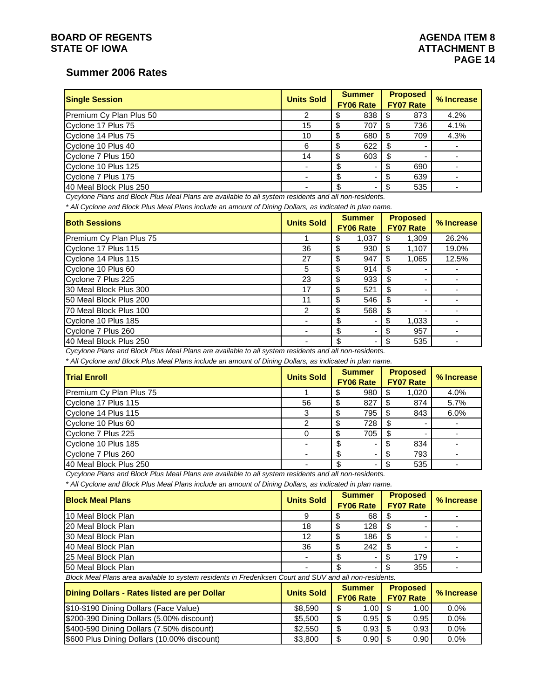## **BOARD OF REGENTS AGENTS** AGENERATION AGENERATION AGENERATION AGENERATION OF REGENTS AGENERATION AGENERATION AGENERATION AGENERATION AGENERATION AGENERATION AGENERATION AGENERATION AGENERATION AGENERATION AGENERATION AGENE **STATE OF IOWA** AND **ATTACHMENT B**

## **Summer 2006 Rates**

| <b>Single Session</b>   | <b>Units Sold</b> | <b>Summer</b><br><b>FY06 Rate</b> |     | <b>Proposed</b><br><b>FY07 Rate</b> |     |      | % Increase |
|-------------------------|-------------------|-----------------------------------|-----|-------------------------------------|-----|------|------------|
| Premium Cy Plan Plus 50 |                   |                                   | 838 |                                     | 873 | 4.2% |            |
| Cyclone 17 Plus 75      | 15                |                                   | 707 |                                     | 736 | 4.1% |            |
| Cyclone 14 Plus 75      | 10                |                                   | 680 |                                     | 709 | 4.3% |            |
| Cyclone 10 Plus 40      | 6                 |                                   | 622 |                                     |     |      |            |
| Cyclone 7 Plus 150      | 14                | -S                                | 603 |                                     |     |      |            |
| Cyclone 10 Plus 125     |                   |                                   |     |                                     | 690 |      |            |
| Cyclone 7 Plus 175      |                   |                                   |     |                                     | 639 |      |            |
| 140 Meal Block Plus 250 |                   |                                   | ۰   |                                     | 535 |      |            |

*Cycylone Plans and Block Plus Meal Plans are available to all system residents and all non-residents.*

*\* All Cyclone and Block Plus Meal Plans include an amount of Dining Dollars, as indicated in plan name.*

| <b>Both Sessions</b>    | <b>Units Sold</b> | <b>Summer</b><br><b>FY06 Rate</b> |       |      | <b>Proposed</b><br><b>FY07 Rate</b> | % Increase |
|-------------------------|-------------------|-----------------------------------|-------|------|-------------------------------------|------------|
| Premium Cy Plan Plus 75 |                   | S                                 | 1,037 | \$.  | 1,309                               | 26.2%      |
| Cyclone 17 Plus 115     | 36                | \$                                | 930   | - \$ | 1,107                               | 19.0%      |
| Cyclone 14 Plus 115     | 27                | S                                 | 947   | -S   | 1,065                               | 12.5%      |
| Cyclone 10 Plus 60      | 5                 | S                                 | 914   | S    |                                     |            |
| Cyclone 7 Plus 225      | 23                | S                                 | 933   | \$   |                                     |            |
| 30 Meal Block Plus 300  | 17                | \$                                | 521   | \$   |                                     |            |
| 50 Meal Block Plus 200  | 11                | S                                 | 546   | S    |                                     |            |
| 70 Meal Block Plus 100  | 2                 | S                                 | 568   | \$   |                                     |            |
| Cyclone 10 Plus 185     |                   | \$                                |       | \$   | 1,033                               |            |
| Cyclone 7 Plus 260      |                   | \$                                |       | \$.  | 957                                 |            |
| 40 Meal Block Plus 250  |                   | \$                                |       | \$.  | 535                                 |            |

*Cycylone Plans and Block Plus Meal Plans are available to all system residents and all non-residents.*

*\* All Cyclone and Block Plus Meal Plans include an amount of Dining Dollars, as indicated in plan name.*

| <b>Trial Enroll</b>     | <b>Units Sold</b> | <b>Summer</b><br><b>FY06 Rate</b> |     | <b>Proposed</b><br><b>FY07 Rate</b> | % Increase |
|-------------------------|-------------------|-----------------------------------|-----|-------------------------------------|------------|
| Premium Cy Plan Plus 75 |                   |                                   | 980 | 1,020                               | 4.0%       |
| Cyclone 17 Plus 115     | 56                |                                   | 827 | 874                                 | 5.7%       |
| Cyclone 14 Plus 115     |                   |                                   | 795 | 843                                 | 6.0%       |
| Cyclone 10 Plus 60      |                   |                                   | 728 |                                     |            |
| Cyclone 7 Plus 225      |                   |                                   | 705 |                                     |            |
| Cyclone 10 Plus 185     |                   |                                   |     | 834                                 |            |
| Cyclone 7 Plus 260      |                   | ß.                                |     | 793                                 |            |
| 140 Meal Block Plus 250 |                   |                                   |     | 535                                 |            |

*Cycylone Plans and Block Plus Meal Plans are available to all system residents and all non-residents.*

*\* All Cyclone and Block Plus Meal Plans include an amount of Dining Dollars, as indicated in plan name.*

| <b>Block Meal Plans</b> | <b>Units Sold</b> | <b>Summer</b><br><b>FY06 Rate</b> |                  | <b>Proposed</b><br><b>FY07 Rate</b> |     | % Increase |
|-------------------------|-------------------|-----------------------------------|------------------|-------------------------------------|-----|------------|
| 10 Meal Block Plan      |                   |                                   | 68 I             |                                     |     |            |
| 120 Meal Block Plan     | 18                |                                   | 128              |                                     |     |            |
| 130 Meal Block Plan     | 12                |                                   | 186 <sup>1</sup> |                                     |     |            |
| 140 Meal Block Plan     | 36                |                                   | 242              |                                     |     |            |
| 125 Meal Block Plan     |                   |                                   |                  |                                     | 179 |            |
| 50 Meal Block Plan      |                   |                                   | -                |                                     | 355 |            |

*Block Meal Plans area available to system residents in Frederiksen Court and SUV and all non-residents.*

| Dining Dollars - Rates listed are per Dollar | <b>Units Sold</b> |        | <b>Proposed</b><br><b>Summer</b><br><b>FY06 Rate</b><br><b>FY07 Rate</b> |  | % Increase |         |
|----------------------------------------------|-------------------|--------|--------------------------------------------------------------------------|--|------------|---------|
| \$10-\$190 Dining Dollars (Face Value)       | \$8.590           | ጥ<br>ъ | $1.00$ $\sqrt{5}$                                                        |  | 1.00       | $0.0\%$ |
| \$200-390 Dining Dollars (5.00% discount)    | \$5,500           | \$.    | $0.95$ $\uparrow$ \$                                                     |  | 0.95       | $0.0\%$ |
| \$400-590 Dining Dollars (7.50% discount)    | \$2,550           | ጦ<br>æ | $0.93$ $\uparrow$ \$                                                     |  | 0.93       | 0.0%    |
| \$600 Plus Dining Dollars (10.00% discount)  | \$3,800           | ጦ      |                                                                          |  | 0.90       | $0.0\%$ |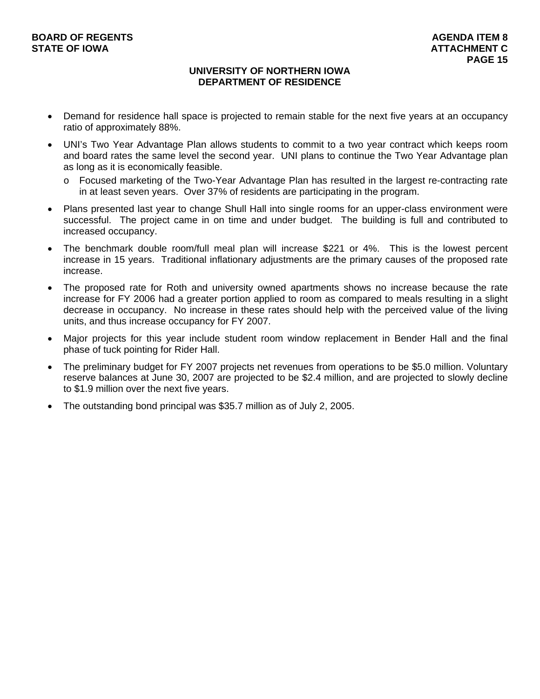## **UNIVERSITY OF NORTHERN IOWA DEPARTMENT OF RESIDENCE**

- Demand for residence hall space is projected to remain stable for the next five years at an occupancy ratio of approximately 88%.
- UNI's Two Year Advantage Plan allows students to commit to a two year contract which keeps room and board rates the same level the second year. UNI plans to continue the Two Year Advantage plan as long as it is economically feasible.
	- o Focused marketing of the Two-Year Advantage Plan has resulted in the largest re-contracting rate in at least seven years. Over 37% of residents are participating in the program.
- Plans presented last year to change Shull Hall into single rooms for an upper-class environment were successful. The project came in on time and under budget. The building is full and contributed to increased occupancy.
- The benchmark double room/full meal plan will increase \$221 or 4%. This is the lowest percent increase in 15 years. Traditional inflationary adjustments are the primary causes of the proposed rate increase.
- The proposed rate for Roth and university owned apartments shows no increase because the rate increase for FY 2006 had a greater portion applied to room as compared to meals resulting in a slight decrease in occupancy. No increase in these rates should help with the perceived value of the living units, and thus increase occupancy for FY 2007.
- Major projects for this year include student room window replacement in Bender Hall and the final phase of tuck pointing for Rider Hall.
- The preliminary budget for FY 2007 projects net revenues from operations to be \$5.0 million. Voluntary reserve balances at June 30, 2007 are projected to be \$2.4 million, and are projected to slowly decline to \$1.9 million over the next five years.
- The outstanding bond principal was \$35.7 million as of July 2, 2005.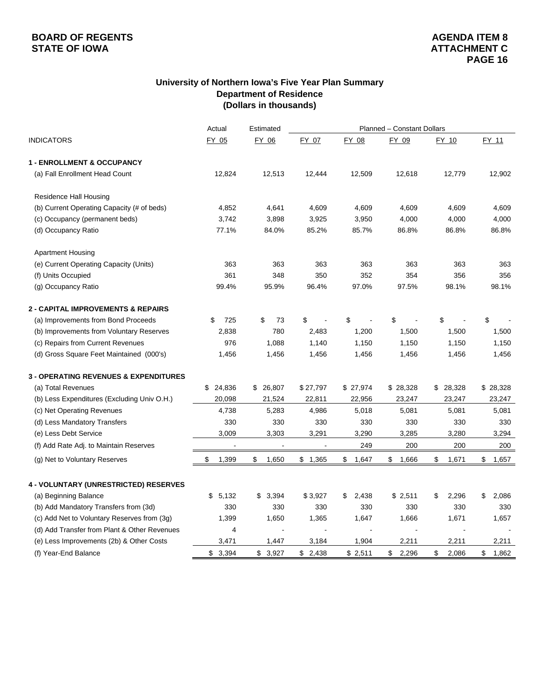## **University of Northern Iowa's Five Year Plan Summary Department of Residence (Dollars in thousands)**

|                                                  | Actual                   | Estimated      |                |             | Planned - Constant Dollars |             |             |  |  |
|--------------------------------------------------|--------------------------|----------------|----------------|-------------|----------------------------|-------------|-------------|--|--|
| <b>INDICATORS</b>                                | FY 05                    | FY 06          | FY 07          | FY 08       | FY 09                      | FY 10       | FY 11       |  |  |
| <b>1 - ENROLLMENT &amp; OCCUPANCY</b>            |                          |                |                |             |                            |             |             |  |  |
| (a) Fall Enrollment Head Count                   | 12,824                   | 12,513         | 12,444         | 12,509      | 12,618                     | 12,779      | 12,902      |  |  |
| Residence Hall Housing                           |                          |                |                |             |                            |             |             |  |  |
| (b) Current Operating Capacity (# of beds)       | 4,852                    | 4,641          | 4,609          | 4,609       | 4,609                      | 4,609       | 4,609       |  |  |
| (c) Occupancy (permanent beds)                   | 3,742                    | 3,898          | 3,925          | 3,950       | 4,000                      | 4,000       | 4,000       |  |  |
| (d) Occupancy Ratio                              | 77.1%                    | 84.0%          | 85.2%          | 85.7%       | 86.8%                      | 86.8%       | 86.8%       |  |  |
| <b>Apartment Housing</b>                         |                          |                |                |             |                            |             |             |  |  |
| (e) Current Operating Capacity (Units)           | 363                      | 363            | 363            | 363         | 363                        | 363         | 363         |  |  |
| (f) Units Occupied                               | 361                      | 348            | 350            | 352         | 354                        | 356         | 356         |  |  |
| (g) Occupancy Ratio                              | 99.4%                    | 95.9%          | 96.4%          | 97.0%       | 97.5%                      | 98.1%       | 98.1%       |  |  |
| <b>2 - CAPITAL IMPROVEMENTS &amp; REPAIRS</b>    |                          |                |                |             |                            |             |             |  |  |
| (a) Improvements from Bond Proceeds              | 725<br>\$                | \$<br>73       | \$             | \$          | \$                         | \$          | \$          |  |  |
| (b) Improvements from Voluntary Reserves         | 2,838                    | 780            | 2,483          | 1,200       | 1,500                      | 1,500       | 1,500       |  |  |
| (c) Repairs from Current Revenues                | 976                      | 1,088          | 1,140          | 1,150       | 1,150                      | 1,150       | 1,150       |  |  |
| (d) Gross Square Feet Maintained (000's)         | 1,456                    | 1,456          | 1,456          | 1,456       | 1,456                      | 1,456       | 1,456       |  |  |
| <b>3 - OPERATING REVENUES &amp; EXPENDITURES</b> |                          |                |                |             |                            |             |             |  |  |
| (a) Total Revenues                               | 24,836<br>\$             | \$26,807       | \$27,797       | \$ 27,974   | \$28,328                   | \$28,328    | \$28,328    |  |  |
| (b) Less Expenditures (Excluding Univ O.H.)      | 20,098                   | 21,524         | 22,811         | 22,956      | 23,247                     | 23,247      | 23,247      |  |  |
| (c) Net Operating Revenues                       | 4,738                    | 5,283          | 4,986          | 5,018       | 5,081                      | 5,081       | 5,081       |  |  |
| (d) Less Mandatory Transfers                     | 330                      | 330            | 330            | 330         | 330                        | 330         | 330         |  |  |
| (e) Less Debt Service                            | 3,009                    | 3,303          | 3,291          | 3,290       | 3,285                      | 3,280       | 3,294       |  |  |
| (f) Add Rate Adj. to Maintain Reserves           | $\overline{\phantom{a}}$ | $\blacksquare$ | $\blacksquare$ | 249         | 200                        | 200         | 200         |  |  |
| (g) Net to Voluntary Reserves                    | \$<br>1,399              | 1,650<br>\$    | \$1,365        | \$<br>1,647 | \$<br>1,666                | \$<br>1,671 | \$<br>1,657 |  |  |
| 4 - VOLUNTARY (UNRESTRICTED) RESERVES            |                          |                |                |             |                            |             |             |  |  |
| (a) Beginning Balance                            | \$5,132                  | 3,394<br>\$    | \$3,927        | \$<br>2,438 | \$2,511                    | \$<br>2,296 | \$<br>2,086 |  |  |
| (b) Add Mandatory Transfers from (3d)            | 330                      | 330            | 330            | 330         | 330                        | 330         | 330         |  |  |
| (c) Add Net to Voluntary Reserves from (3g)      | 1,399                    | 1,650          | 1,365          | 1,647       | 1,666                      | 1,671       | 1,657       |  |  |
| (d) Add Transfer from Plant & Other Revenues     | 4                        |                |                |             |                            |             |             |  |  |
| (e) Less Improvements (2b) & Other Costs         | 3,471                    | 1,447          | 3,184          | 1,904       | 2,211                      | 2,211       | 2,211       |  |  |
| (f) Year-End Balance                             | \$<br>3,394              | \$3,927        | \$<br>2,438    | \$2,511     | \$<br>2,296                | \$<br>2,086 | \$<br>1,862 |  |  |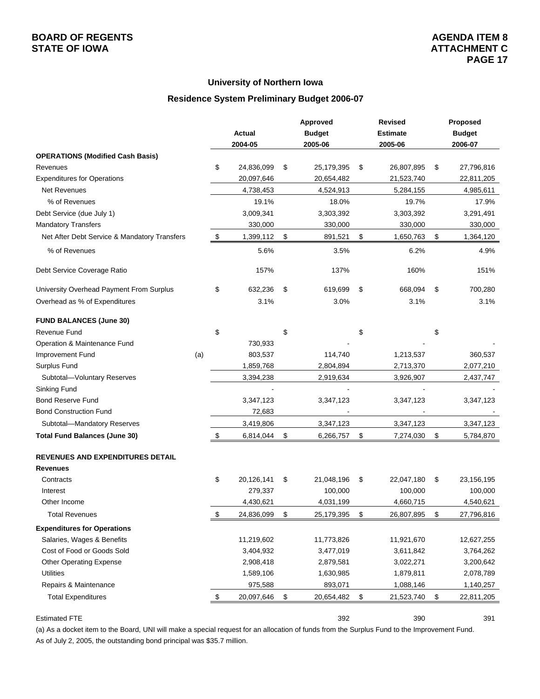### **University of Northern Iowa**

### **Residence System Preliminary Budget 2006-07**

|                                              |     |                  | Approved         | <b>Revised</b>   | Proposed         |
|----------------------------------------------|-----|------------------|------------------|------------------|------------------|
|                                              |     | Actual           | <b>Budget</b>    | <b>Estimate</b>  | <b>Budget</b>    |
|                                              |     | 2004-05          | 2005-06          | 2005-06          | 2006-07          |
| <b>OPERATIONS (Modified Cash Basis)</b>      |     |                  |                  |                  |                  |
| Revenues                                     |     | \$<br>24,836,099 | \$<br>25,179,395 | \$<br>26,807,895 | \$<br>27,796,816 |
| <b>Expenditures for Operations</b>           |     | 20,097,646       | 20,654,482       | 21,523,740       | 22,811,205       |
| <b>Net Revenues</b>                          |     | 4,738,453        | 4,524,913        | 5,284,155        | 4,985,611        |
| % of Revenues                                |     | 19.1%            | 18.0%            | 19.7%            | 17.9%            |
| Debt Service (due July 1)                    |     | 3,009,341        | 3,303,392        | 3,303,392        | 3,291,491        |
| <b>Mandatory Transfers</b>                   |     | 330,000          | 330,000          | 330,000          | 330,000          |
| Net After Debt Service & Mandatory Transfers |     | \$<br>1,399,112  | \$<br>891,521    | \$<br>1,650,763  | \$<br>1,364,120  |
| % of Revenues                                |     | 5.6%             | 3.5%             | 6.2%             | 4.9%             |
| Debt Service Coverage Ratio                  |     | 157%             | 137%             | 160%             | 151%             |
| University Overhead Payment From Surplus     |     | \$<br>632,236    | \$<br>619,699    | \$<br>668,094    | \$<br>700,280    |
| Overhead as % of Expenditures                |     | 3.1%             | 3.0%             | 3.1%             | 3.1%             |
| <b>FUND BALANCES (June 30)</b>               |     |                  |                  |                  |                  |
| Revenue Fund                                 |     | \$               | \$               | \$               | \$               |
| Operation & Maintenance Fund                 |     | 730,933          |                  |                  |                  |
| Improvement Fund                             | (a) | 803,537          | 114,740          | 1,213,537        | 360,537          |
| Surplus Fund                                 |     | 1,859,768        | 2,804,894        | 2,713,370        | 2,077,210        |
| Subtotal-Voluntary Reserves                  |     | 3,394,238        | 2,919,634        | 3,926,907        | 2,437,747        |
| Sinking Fund                                 |     |                  |                  |                  |                  |
| <b>Bond Reserve Fund</b>                     |     | 3,347,123        | 3,347,123        | 3,347,123        | 3,347,123        |
| <b>Bond Construction Fund</b>                |     | 72,683           |                  |                  |                  |
| Subtotal-Mandatory Reserves                  |     | 3,419,806        | 3,347,123        | 3,347,123        | 3,347,123        |
| <b>Total Fund Balances (June 30)</b>         |     | \$<br>6,814,044  | \$<br>6,266,757  | \$<br>7,274,030  | \$<br>5,784,870  |
| <b>REVENUES AND EXPENDITURES DETAIL</b>      |     |                  |                  |                  |                  |
| <b>Revenues</b>                              |     |                  |                  |                  |                  |
| Contracts                                    |     | \$<br>20,126,141 | \$<br>21,048,196 | \$<br>22,047,180 | \$<br>23,156,195 |
| Interest                                     |     | 279,337          | 100,000          | 100,000          | 100,000          |
| Other Income                                 |     | 4,430,621        | 4,031,199        | 4,660,715        | 4,540,621        |
| <b>Total Revenues</b>                        |     | \$<br>24,836,099 | \$<br>25,179,395 | \$<br>26,807,895 | \$<br>27,796,816 |
| <b>Expenditures for Operations</b>           |     |                  |                  |                  |                  |
| Salaries, Wages & Benefits                   |     | 11,219,602       | 11,773,826       | 11,921,670       | 12,627,255       |
| Cost of Food or Goods Sold                   |     | 3,404,932        | 3,477,019        | 3,611,842        | 3,764,262        |
| <b>Other Operating Expense</b>               |     | 2,908,418        | 2,879,581        | 3,022,271        | 3,200,642        |
| <b>Utilities</b>                             |     | 1,589,106        | 1,630,985        | 1,879,811        | 2,078,789        |
| Repairs & Maintenance                        |     | 975,588          | 893,071          | 1,088,146        | 1,140,257        |
| <b>Total Expenditures</b>                    |     | \$<br>20,097,646 | \$<br>20,654,482 | \$<br>21,523,740 | \$<br>22,811,205 |
|                                              |     |                  |                  |                  |                  |

#### Estimated FTE 392 390 391

(a) As a docket item to the Board, UNI will make a special request for an allocation of funds from the Surplus Fund to the Improvement Fund. As of July 2, 2005, the outstanding bond principal was \$35.7 million.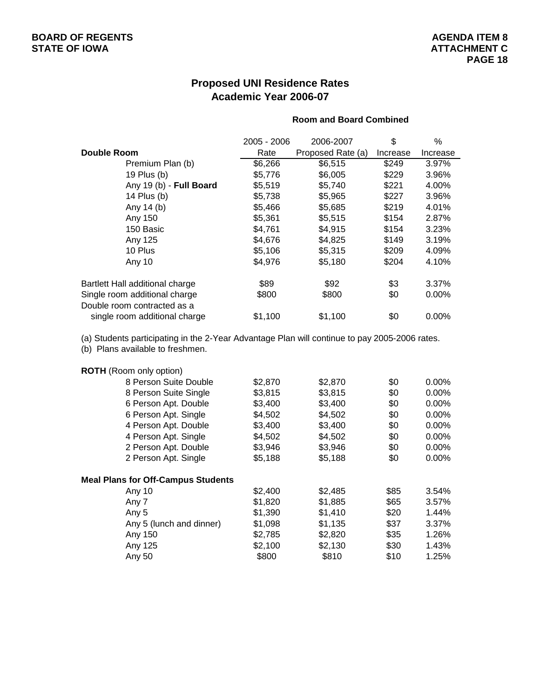## **Proposed UNI Residence Rates Academic Year 2006-07**

### **Room and Board Combined**

|                                 | 2005 - 2006 | 2006-2007         | \$       | ℅        |
|---------------------------------|-------------|-------------------|----------|----------|
| Double Room                     | Rate        | Proposed Rate (a) | Increase | Increase |
| Premium Plan (b)                | \$6,266     | \$6,515           | \$249    | 3.97%    |
| 19 Plus (b)                     | \$5,776     | \$6,005           | \$229    | 3.96%    |
| Any 19 (b) - Full Board         | \$5,519     | \$5,740           | \$221    | 4.00%    |
| 14 Plus (b)                     | \$5,738     | \$5,965           | \$227    | 3.96%    |
| Any 14 (b)                      | \$5,466     | \$5,685           | \$219    | 4.01%    |
| Any 150                         | \$5,361     | \$5,515           | \$154    | 2.87%    |
| 150 Basic                       | \$4,761     | \$4,915           | \$154    | 3.23%    |
| Any 125                         | \$4,676     | \$4,825           | \$149    | 3.19%    |
| 10 Plus                         | \$5,106     | \$5,315           | \$209    | 4.09%    |
| Any 10                          | \$4,976     | \$5,180           | \$204    | 4.10%    |
| Bartlett Hall additional charge | \$89        | \$92              | \$3      | 3.37%    |
| Single room additional charge   | \$800       | \$800             | \$0      | 0.00%    |
| Double room contracted as a     |             |                   |          |          |
| single room additional charge   | \$1,100     | \$1,100           | \$0      | $0.00\%$ |

(a) Students participating in the 2-Year Advantage Plan will continue to pay 2005-2006 rates.

(b) Plans available to freshmen.

### **ROTH** (Room only option)

|        | 8 Person Suite Double                     | \$2,870 | \$2,870 | \$0  | $0.00\%$ |
|--------|-------------------------------------------|---------|---------|------|----------|
|        | 8 Person Suite Single                     | \$3,815 | \$3,815 | \$0  | $0.00\%$ |
|        | 6 Person Apt. Double                      | \$3,400 | \$3,400 | \$0  | $0.00\%$ |
|        | 6 Person Apt. Single                      | \$4,502 | \$4,502 | \$0  | $0.00\%$ |
|        | 4 Person Apt. Double                      | \$3,400 | \$3,400 | \$0  | 0.00%    |
|        | 4 Person Apt. Single                      | \$4,502 | \$4,502 | \$0  | $0.00\%$ |
|        | 2 Person Apt. Double                      | \$3,946 | \$3,946 | \$0  | $0.00\%$ |
|        | 2 Person Apt. Single                      | \$5,188 | \$5,188 | \$0  | $0.00\%$ |
|        | <b>Meal Plans for Off-Campus Students</b> |         |         |      |          |
| Any 10 |                                           | \$2,400 | \$2,485 | \$85 | 3.54%    |
| Any 7  |                                           | \$1,820 | \$1,885 | \$65 | 3.57%    |
| Any 5  |                                           | \$1,390 | \$1,410 | \$20 | 1.44%    |
|        | Any 5 (lunch and dinner)                  | \$1,098 | \$1,135 | \$37 | 3.37%    |
|        | Any 150                                   | \$2,785 | \$2,820 | \$35 | 1.26%    |
|        | Any 125                                   | \$2,100 | \$2,130 | \$30 | 1.43%    |
| Any 50 |                                           | \$800   | \$810   | \$10 | 1.25%    |
|        |                                           |         |         |      |          |